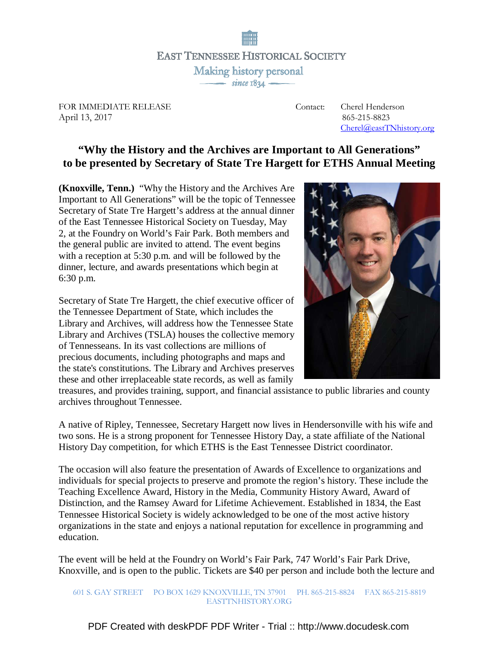

FOR IMMEDIATE RELEASE Contact: Cherel Henderson FOR IMMEDIATE RELEASE<br>April 13, 2017 865-215-8823

Cherel@eastTNhistory.org

## **"Why the History and the Archives are Important to All Generations" to be presented by Secretary of State Tre Hargett for ETHS Annual Meeting**

**(Knoxville, Tenn.)** "Why the History and the Archives Are Important to All Generations" will be the topic of Tennessee Secretary of State Tre Hargett's address at the annual dinner of the East Tennessee Historical Society on Tuesday, May 2, at the Foundry on World's Fair Park. Both members and the general public are invited to attend. The event begins with a reception at 5:30 p.m. and will be followed by the dinner, lecture, and awards presentations which begin at 6:30 p.m.

Secretary of State Tre Hargett, the chief executive officer of the Tennessee Department of State, which includes the Library and Archives, will address how the Tennessee State Library and Archives (TSLA) houses the collective memory of Tennesseans. In its vast collections are millions of precious documents, including photographs and maps and the state's constitutions. The Library and Archives preserves these and other irreplaceable state records, as well as family

treasures, and provides training, support, and financial assistance to public libraries and county archives throughout Tennessee.

A native of Ripley, Tennessee, Secretary Hargett now lives in Hendersonville with his wife and two sons. He is a strong proponent for Tennessee History Day, a state affiliate of the National History Day competition, for which ETHS is the East Tennessee District coordinator.

The occasion will also feature the presentation of Awards of Excellence to organizations and individuals for special projects to preserve and promote the region's history. These include the Teaching Excellence Award, History in the Media, Community History Award, Award of Distinction, and the Ramsey Award for Lifetime Achievement. Established in 1834, the East Tennessee Historical Society is widely acknowledged to be one of the most active history organizations in the state and enjoys a national reputation for excellence in programming and education.

The event will be held at the Foundry on World's Fair Park, 747 World's Fair Park Drive, Knoxville, and is open to the public. Tickets are \$40 per person and include both the lecture and

## 601 S. GAY STREET PO BOX 1629 KNOXVILLE, TN 37901 PH. 865-215-8824 FAX 865-215-8819 EASTTNHISTORY.ORG

[PDF Created with deskPDF PDF Writer - Trial :: http://www.docudesk.com](http://www.docudesk.com)